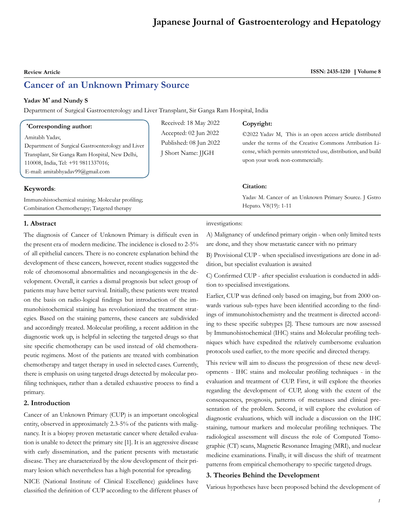# **Japanese Journal of Gastroenterology and Hepatology**

# **Cancer of an Unknown Primary Source**

# **Yadav M\* and Nundy S**

Department of Surgical Gastroenterology and Liver Transplant, Sir Ganga Ram Hospital, India

#### **\* Corresponding author:**

Amitabh Yadav,

Department of Surgical Gastroenterology and Liver Transplant, Sir Ganga Ram Hospital, New Delhi, 110008, India, Tel: +91 9811337016; E-mail: amitabhyadav99@gmail.com

### **Keywords**:

Immunohistochemical staining; Molecular profiling; Combination Chemotherapy; Targeted therapy

#### **1. Abstract**

The diagnosis of Cancer of Unknown Primary is difficult even in the present era of modern medicine. The incidence is closed to 2-5% of all epithelial cancers. There is no concrete explanation behind the development of these cancers, however, recent studies suggested the role of chromosomal abnormalities and neoangiogenesis in the development. Overall, it carries a dismal prognosis but select group of patients may have better survival. Initially, these patients were treated on the basis on radio-logical findings but introduction of the immunohistochemical staining has revolutionized the treatment strategies. Based on the staining patterns, these cancers are subdivided and accordingly treated. Molecular profiling, a recent addition in the diagnostic work up, is helpful in selecting the targeted drugs so that site specific chemotherapy can be used instead of old chemotherapeutic regimens. Most of the patients are treated with combination chemotherapy and target therapy in used in selected cases. Currently, there is emphasis on using targeted drugs detected by molecular profiling techniques, rather than a detailed exhaustive process to find a primary.

# **2. Introduction**

Cancer of an Unknown Primary (CUP) is an important oncological entity, observed in approximately 2.3-5% of the patients with malignancy. It is a biopsy proven metastatic cancer where detailed evaluation is unable to detect the primary site [1]. It is an aggressive disease with early dissemination, and the patient presents with metastatic disease. They are characterized by the slow development of their primary lesion which nevertheless has a high potential for spreading.

NICE (National Institute of Clinical Excellence) guidelines have classified the definition of CUP according to the different phases of

Received: 18 May 2022 Accepted: 02 Jun 2022 Published: 08 Jun 2022 J Short Name: JJGH

#### **Copyright:**

©2022 Yadav M, This is an open access article distributed under the terms of the Creative Commons Attribution License, which permits unrestricted use, distribution, and build upon your work non-commercially.

# **Citation:**

Yadav M. Cancer of an Unknown Primary Source. J Gstro Hepato. V8(19): 1-11

#### investigations:

A) Malignancy of undefined primary origin - when only limited tests are done, and they show metastatic cancer with no primary

B) Provisional CUP - when specialised investigations are done in addition, but specialist evaluation is awaited

C) Confirmed CUP - after specialist evaluation is conducted in addition to specialised investigations.

Earlier, CUP was defined only based on imaging, but from 2000 onwards various sub-types have been identified according to the findings of immunohistochemistry and the treatment is directed according to these specific subtypes [2]. These tumours are now assessed by Immunohistochemical (IHC) stains and Molecular profiling techniques which have expedited the relatively cumbersome evaluation protocols used earlier, to the more specific and directed therapy.

This review will aim to discuss the progression of these new developments - IHC stains and molecular profiling techniques - in the evaluation and treatment of CUP. First, it will explore the theories regarding the development of CUP, along with the extent of the consequences, prognosis, patterns of metastases and clinical presentation of the problem. Second, it will explore the evolution of diagnostic evaluations, which will include a discussion on the IHC staining, tumour markers and molecular profiling techniques. The radiological assessment will discuss the role of Computed Tomographic (CT) scans, Magnetic Resonance Imaging (MRI), and nuclear medicine examinations. Finally, it will discuss the shift of treatment patterns from empirical chemotherapy to specific targeted drugs.

#### **3. Theories Behind the Development**

Various hypotheses have been proposed behind the development of

# **Review Article ISSN: 2435-1210 | Volume 8**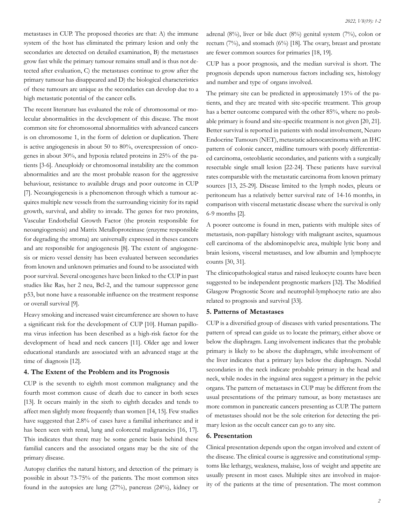metastases in CUP. The proposed theories are that: A) the immune system of the host has eliminated the primary lesion and only the secondaries are detected on detailed examination, B) the metastases grow fast while the primary tumour remains small and is thus not detected after evaluation, C) the metastases continue to grow after the primary tumour has disappeared and D) the biological characteristics of these tumours are unique as the secondaries can develop due to a high metastatic potential of the cancer cells.

The recent literature has evaluated the role of chromosomal or molecular abnormalities in the development of this disease. The most common site for chromosomal abnormalities with advanced cancers is on chromosome 1, in the form of deletion or duplication. There is active angiogenesis in about 50 to 80%, overexpression of oncogenes in about 30%, and hypoxia related proteins in 25% of the patients [3-6]. Aneuploidy or chromosomal instability are the common abnormalities and are the most probable reason for the aggressive behaviour, resistance to available drugs and poor outcome in CUP [7]. Neoangiogenesis is a phenomenon through which a tumour acquires multiple new vessels from the surrounding vicinity for its rapid growth, survival, and ability to invade. The genes for two proteins, Vascular Endothelial Growth Factor (the protein responsible for neoangiogenesis) and Matrix Metalloproteinase (enzyme responsible for degrading the stroma) are universally expressed in theses cancers and are responsible for angiogenesis [8]. The extent of angiogenesis or micro vessel density has been evaluated between secondaries from known and unknown primaries and found to be associated with poor survival. Several oncogenes have been linked to the CUP in past studies like Ras, her 2 neu, Bcl-2, and the tumour suppressor gene p53, but none have a reasonable influence on the treatment response or overall survival [9].

Heavy smoking and increased waist circumference are shown to have a significant risk for the development of CUP [10]. Human papilloma virus infection has been described as a high-risk factor for the development of head and neck cancers [11]. Older age and lower educational standards are associated with an advanced stage at the time of diagnosis [12].

#### **4. The Extent of the Problem and its Prognosis**

CUP is the seventh to eighth most common malignancy and the fourth most common cause of death due to cancer in both sexes [13]. It occurs mainly in the sixth to eighth decades and tends to affect men slightly more frequently than women [14, 15]. Few studies have suggested that 2.8% of cases have a familial inheritance and it has been seen with renal, lung and colorectal malignancies [16, 17]. This indicates that there may be some genetic basis behind these familial cancers and the associated organs may be the site of the primary disease.

Autopsy clarifies the natural history, and detection of the primary is possible in about 73-75% of the patients. The most common sites found in the autopsies are lung (27%), pancreas (24%), kidney or adrenal (8%), liver or bile duct (8%) genital system (7%), colon or rectum (7%), and stomach (6%) [18]. The ovary, breast and prostate are fewer common sources for primaries [18, 19].

CUP has a poor prognosis, and the median survival is short. The prognosis depends upon numerous factors including sex, histology and number and type of organs involved.

The primary site can be predicted in approximately 15% of the patients, and they are treated with site-specific treatment. This group has a better outcome compared with the other 85%, where no probable primary is found and site-specific treatment is not given [20, 21]. Better survival is reported in patients with nodal involvement, Neuro Endocrine Tumours (NET), metastatic adenocarcinoma with an IHC pattern of colonic cancer, midline tumours with poorly differentiated carcinoma, osteoblastic secondaries, and patients with a surgically resectable single small lesion [22-24]. These patients have survival rates comparable with the metastatic carcinoma from known primary sources [13, 25-29]. Disease limited to the lymph nodes, pleura or peritoneum has a relatively better survival rate of 14-16 months, in comparison with visceral metastatic disease where the survival is only 6-9 months [2].

A poorer outcome is found in men, patients with multiple sites of metastasis, non-papillary histology with malignant ascites, squamous cell carcinoma of the abdominopelvic area, multiple lytic bony and brain lesions, visceral metastases, and low albumin and lymphocyte counts [30, 31].

The clinicopathological status and raised leukocyte counts have been suggested to be independent prognostic markers [32]. The Modified Glasgow Prognostic Score and neutrophil-lymphocyte ratio are also related to prognosis and survival [33].

# **5. Patterns of Metastases**

CUP is a diversified group of diseases with varied presentations. The pattern of spread can guide us to locate the primary, either above or below the diaphragm. Lung involvement indicates that the probable primary is likely to be above the diaphragm, while involvement of the liver indicates that a primary lays below the diaphragm. Nodal secondaries in the neck indicate probable primary in the head and neck, while nodes in the inguinal area suggest a primary in the pelvic organs. The pattern of metastases in CUP may be different from the usual presentations of the primary tumour, as bony metastases are more common in pancreatic cancers presenting as CUP. The pattern of metastases should not be the sole criterion for detecting the primary lesion as the occult cancer can go to any site.

# **6. Presentation**

Clinical presentation depends upon the organ involved and extent of the disease. The clinical course is aggressive and constitutional symptoms like lethargy, weakness, malaise, loss of weight and appetite are usually present in most cases. Multiple sites are involved in majority of the patients at the time of presentation. The most common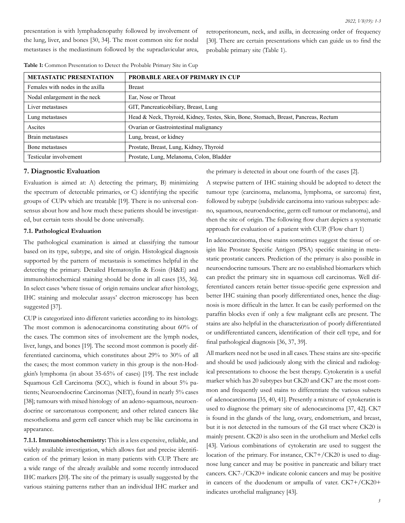presentation is with lymphadenopathy followed by involvement of the lung, liver, and bones [30, 34]. The most common site for nodal metastases is the mediastinum followed by the supraclavicular area, retroperitoneum, neck, and axilla, in decreasing order of frequency [30]. There are certain presentations which can guide us to find the probable primary site (Table 1).

| <b>METASTATIC PRESENTATION</b>   | <b>PROBABLE AREA OF PRIMARY IN CUP</b>                                              |
|----------------------------------|-------------------------------------------------------------------------------------|
| Females with nodes in the axilla | <b>Breast</b>                                                                       |
| Nodal enlargement in the neck    | Ear, Nose or Throat                                                                 |
| Liver metastases                 | GIT, Pancreaticobiliary, Breast, Lung                                               |
| Lung metastases                  | Head & Neck, Thyroid, Kidney, Testes, Skin, Bone, Stomach, Breast, Pancreas, Rectum |
| Ascites                          | Ovarian or Gastrointestinal malignancy                                              |
| Brain metastases                 | Lung, breast, or kidney                                                             |
| Bone metastases                  | Prostate, Breast, Lung, Kidney, Thyroid                                             |
| Testicular involvement           | Prostate, Lung, Melanoma, Colon, Bladder                                            |

**Table 1:** Common Presentation to Detect the Probable Primary Site in Cup

#### **7. Diagnostic Evaluation**

Evaluation is aimed at: A) detecting the primary, B) minimizing the spectrum of detectable primaries, or C) identifying the specific groups of CUPs which are treatable [19]. There is no universal consensus about how and how much these patients should be investigated, but certain tests should be done universally.

# **7.1. Pathological Evaluation**

The pathological examination is aimed at classifying the tumour based on its type, subtype, and site of origin. Histological diagnosis supported by the pattern of metastasis is sometimes helpful in the detecting the primary. Detailed Hematoxylin & Eosin (H&E) and immunohistochemical staining should be done in all cases [35, 36]. In select cases 'where tissue of origin remains unclear after histology, IHC staining and molecular assays' electron microscopy has been suggested [37].

CUP is categorized into different varieties according to its histology. The most common is adenocarcinoma constituting about 60% of the cases. The common sites of involvement are the lymph nodes, liver, lungs, and bones [19]. The second most common is poorly differentiated carcinoma, which constitutes about 29% to 30% of all the cases; the most common variety in this group is the non-Hodgkin's lymphoma (in about 35-65% of cases) [19]. The rest include Squamous Cell Carcinoma (SCC), which is found in about 5% patients; Neuroendocrine Carcinomas (NET), found in nearly 5% cases [38]; tumours with mixed histology of an adeno-squamous, neuroendocrine or sarcomatous component; and other related cancers like mesothelioma and germ cell cancer which may be like carcinoma in appearance.

**7.1.1. Immunohistochemistry:** This is a less expensive, reliable, and widely available investigation, which allows fast and precise identification of the primary lesion in many patients with CUP. There are a wide range of the already available and some recently introduced IHC markers [20]. The site of the primary is usually suggested by the various staining patterns rather than an individual IHC marker and

the primary is detected in about one fourth of the cases [2].

A stepwise pattern of IHC staining should be adopted to detect the tumour type (carcinoma, melanoma, lymphoma, or sarcoma) first, followed by subtype (subdivide carcinoma into various subtypes: adeno, squamous, neuroendocrine, germ cell tumour or melanoma), and then the site of origin. The following flow chart depicts a systematic approach for evaluation of a patient with CUP. (Flow chart 1)

In adenocarcinoma, these stains sometimes suggest the tissue of origin like Prostate Specific Antigen (PSA) specific staining in metastatic prostatic cancers. Prediction of the primary is also possible in neuroendocrine tumours. There are no established biomarkers which can predict the primary site in squamous cell carcinomas. Well differentiated cancers retain better tissue-specific gene expression and better IHC staining than poorly differentiated ones, hence the diagnosis is more difficult in the latter. It can be easily performed on the paraffin blocks even if only a few malignant cells are present. The stains are also helpful in the characterization of poorly differentiated or undifferentiated cancers, identification of their cell type, and for final pathological diagnosis [36, 37, 39].

All markers need not be used in all cases. These stains are site-specific and should be used judiciously along with the clinical and radiological presentations to choose the best therapy. Cytokeratin is a useful marker which has 20 subtypes but CK20 and CK7 are the most common and frequently used stains to differentiate the various subsets of adenocarcinoma [35, 40, 41]. Presently a mixture of cytokeratin is used to diagnose the primary site of adenocarcinoma [37, 42]. CK7 is found in the glands of the lung, ovary, endometrium, and breast, but it is not detected in the tumours of the GI tract where CK20 is mainly present. CK20 is also seen in the urothelium and Merkel cells [43]. Various combinations of cytokeratin are used to suggest the location of the primary. For instance, CK7+/CK20 is used to diagnose lung cancer and may be positive in pancreatic and biliary tract cancers. CK7-/CK20+ indicate colonic cancers and may be positive in cancers of the duodenum or ampulla of vater. CK7+/CK20+ indicates urothelial malignancy [43].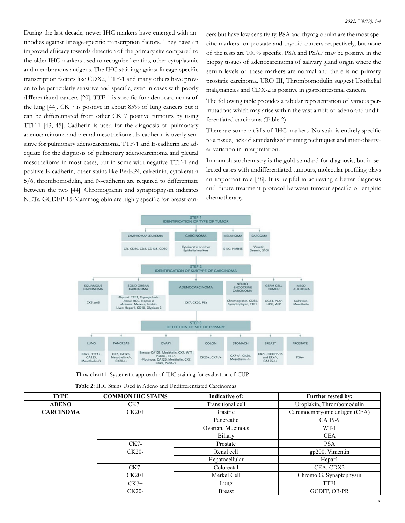During the last decade, newer IHC markers have emerged with antibodies against lineage-specific transcription factors. They have an improved efficacy towards detection of the primary site compared to the older IHC markers used to recognize keratins, other cytoplasmic and membranous antigens. The IHC staining against lineage-specific transcription factors like CDX2, TTF-1 and many others have proven to be particularly sensitive and specific, even in cases with poorly differentiated cancers [20]. TTF-1 is specific for adenocarcinoma of the lung [44]. CK 7 is positive in about 85% of lung cancers but it can be differentiated from other CK 7 positive tumours by using TTF-1 [43, 45]. Cadherin is used for the diagnosis of pulmonary adenocarcinoma and pleural mesothelioma. E-cadherin is overly sensitive for pulmonary adenocarcinoma. TTF-1 and E-cadherin are adequate for the diagnosis of pulmonary adenocarcinoma and pleural mesothelioma in most cases, but in some with negative TTF-1 and positive E-cadherin, other stains like BerEP4, calretinin, cytokeratin 5/6, thrombomodulin, and N-cadherin are required to differentiate between the two [44]. Chromogranin and synaptophysin indicates NETs. GCDFP-15-Mammoglobin are highly specific for breast can-

cers but have low sensitivity. PSA and thyroglobulin are the most specific markers for prostate and thyroid cancers respectively, but none of the tests are 100% specific. PSA and PSAP may be positive in the biopsy tissues of adenocarcinoma of salivary gland origin where the serum levels of these markers are normal and there is no primary prostatic carcinoma. URO III, Thrombomodulin suggest Urothelial malignancies and CDX-2 is positive in gastrointestinal cancers.

The following table provides a tabular representation of various permutations which may arise within the vast ambit of adeno and undifferentiated carcinoma (Table 2)

There are some pitfalls of IHC markers. No stain is entirely specific to a tissue, lack of standardized staining techniques and inter-observer variation in interpretation.

Immunohistochemistry is the gold standard for diagnosis, but in selected cases with undifferentiated tumours, molecular profiling plays an important role [38]. It is helpful in achieving a better diagnosis and future treatment protocol between tumour specific or empiric chemotherapy.



**Flow chart 1**: Systematic approach of IHC staining for evaluation of CUP

| <b>Table 2:</b> IHC Stains Used in Adeno and Undifferentiated Carcinomas |  |
|--------------------------------------------------------------------------|--|
|--------------------------------------------------------------------------|--|

| <b>TYPE</b>      | <b>COMMON IHC STAINS</b> | <b>Indicative of:</b> | <b>Further tested by:</b>      |
|------------------|--------------------------|-----------------------|--------------------------------|
| <b>ADENO</b>     | $CK7+$                   | Transitional cell     | Uroplakin, Thrombomodulin      |
| <b>CARCINOMA</b> | $CK20+$                  | Gastric               | Carcinoembryonic antigen (CEA) |
|                  |                          | Pancreatic            | CA 19-9                        |
|                  |                          | Ovarian, Mucinous     | $WT-1$                         |
|                  |                          | Biliary               | <b>CEA</b>                     |
|                  | $CK7-$                   | Prostate              | <b>PSA</b>                     |
|                  | $CK20-$                  | Renal cell            | gp200, Vimentin                |
|                  |                          | Hepatocellular        | Hepar1                         |
|                  | $CK7-$                   | Colorectal            | CEA, CDX2                      |
|                  | $CK20+$                  | Merkel Cell           | Chromo G, Synaptophysin        |
|                  | $CK7+$                   | Lung                  | TTF1                           |
|                  | $CK20-$                  | <b>Breast</b>         | <b>GCDFP, OR/PR</b>            |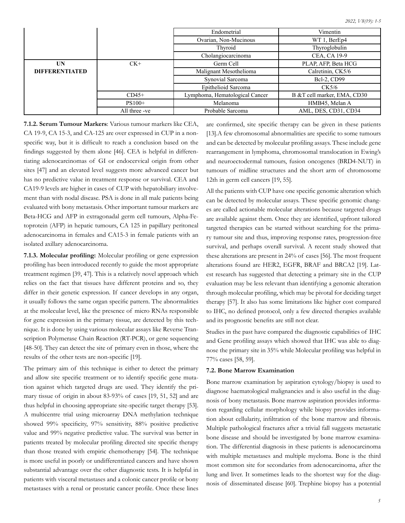|                       |               | Endometrial                    | Vimentin                    |  |
|-----------------------|---------------|--------------------------------|-----------------------------|--|
|                       |               | Ovarian, Non-Mucinous          | WT 1, BerEp4                |  |
|                       |               | Thyroid                        | Thyroglobulin               |  |
|                       |               | Cholangiocarcinoma             | CEA, CA 19-9                |  |
| UN                    | $CK+$         | Germ Cell                      | PLAP, AFP, Beta HCG         |  |
| <b>DIFFERENTIATED</b> |               | Malignant Mesothelioma         | Calretinin, CK5/6           |  |
|                       |               | Synovial Sarcoma               | <b>Bcl-2, CD99</b>          |  |
|                       |               | Epithelioid Sarcoma            | CK5/6                       |  |
|                       | $CD45+$       | Lymphoma, Hematological Cancer | B &T cell marker, EMA, CD30 |  |
|                       | $PS100+$      | Melanoma                       | HMB45, Melan A              |  |
|                       | All three -ve | Probable Sarcoma               | AML, DES, CD31, CD34        |  |

**7.1.2. Serum Tumour Markers**: Various tumour markers like CEA, CA 19-9, CA 15-3, and CA-125 are over expressed in CUP in a nonspecific way, but it is difficult to reach a conclusion based on the findings suggested by them alone [46]. CEA is helpful in differentiating adenocarcinomas of GI or endocervical origin from other sites [47] and an elevated level suggests more advanced cancer but has no predictive value in treatment response or survival. CEA and CA19-9 levels are higher in cases of CUP with hepatobiliary involvement than with nodal disease. PSA is done in all male patients being evaluated with bony metastasis. Other important tumour markers are Beta-HCG and AFP in extragonadal germ cell tumours, Alpha-Fetoprotein (AFP) in hepatic tumours, CA 125 in papillary peritoneal adenocarcinoma in females and CA15-3 in female patients with an isolated axillary adenocarcinoma.

**7.1.3. Molecular profiling:** Molecular profiling or gene expression profiling has been introduced recently to guide the most appropriate treatment regimen [39, 47]. This is a relatively novel approach which relies on the fact that tissues have different proteins and so, they differ in their genetic expression. If cancer develops in any organ, it usually follows the same organ specific pattern. The abnormalities at the molecular level, like the presence of micro RNAs responsible for gene expression in the primary tissue, are detected by this technique. It is done by using various molecular assays like Reverse Transcription Polymerase Chain Reaction (RT-PCR), or gene sequencing [48-50]. They can detect the site of primary even in those, where the results of the other tests are non-specific [19].

The primary aim of this technique is either to detect the primary and allow site specific treatment or to identify specific gene mutation against which targeted drugs are used. They identify the primary tissue of origin in about 83-93% of cases [19, 51, 52] and are thus helpful in choosing appropriate site-specific target therapy [53]. A multicentre trial using microarray DNA methylation technique showed 99% specificity, 97% sensitivity, 88% positive predictive value and 99% negative predictive value. The survival was better in patients treated by molecular profiling directed site specific therapy than those treated with empiric chemotherapy [54]. The technique is more useful in poorly or undifferentiated cancers and have shown substantial advantage over the other diagnostic tests. It is helpful in patients with visceral metastases and a colonic cancer profile or bony metastases with a renal or prostatic cancer profile. Once these lines

are confirmed, site specific therapy can be given in these patients [13].A few chromosomal abnormalities are specific to some tumours and can be detected by molecular profiling assays. These include gene rearrangement in lymphoma, chromosomal translocation in Ewing's and neuroectodermal tumours, fusion oncogenes (BRD4-NUT) in tumours of midline structures and the short arm of chromosome 12th in germ cell cancers [19, 55].

All the patients with CUP have one specific genomic alteration which can be detected by molecular assays. These specific genomic changes are called actionable molecular alterations because targeted drugs are available against them. Once they are identified, upfront tailored targeted therapies can be started without searching for the primary tumour site and thus, improving response rates, progression-free survival, and perhaps overall survival. A recent study showed that these alterations are present in 24% of cases [56]. The most frequent alterations found are HER2, EGFR, BRAF and BRCA2 [19]. Latest research has suggested that detecting a primary site in the CUP evaluation may be less relevant than identifying a genomic alteration through molecular profiling, which may be pivotal for deciding target therapy [57]. It also has some limitations like higher cost compared to IHC, no defined protocol, only a few directed therapies available and its prognostic benefits are still not clear.

Studies in the past have compared the diagnostic capabilities of IHC and Gene profiling assays which showed that IHC was able to diagnose the primary site in 35% while Molecular profiling was helpful in 77% cases [58, 59].

# **7.2. Bone Marrow Examination**

Bone marrow examination by aspiration cytology/biopsy is used to diagnose haematological malignancies and is also useful in the diagnosis of bony metastasis. Bone marrow aspiration provides information regarding cellular morphology while biopsy provides information about cellularity, infiltration of the bone marrow and fibrosis. Multiple pathological fractures after a trivial fall suggests metastatic bone disease and should be investigated by bone marrow examination. The differential diagnosis in these patients is adenocarcinoma with multiple metastases and multiple myeloma. Bone is the third most common site for secondaries from adenocarcinoma, after the lung and liver. It sometimes leads to the shortest way for the diagnosis of disseminated disease [60]. Trephine biopsy has a potential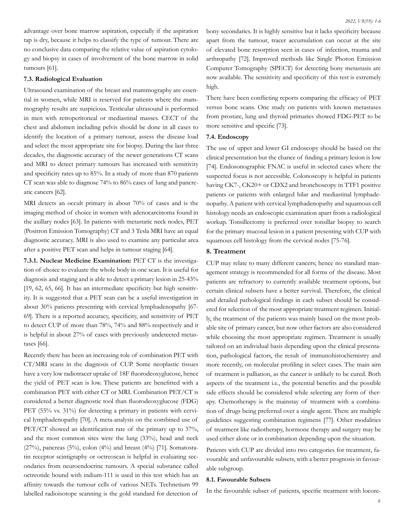advantage over bone marrow aspiration, especially if the aspiration tap is dry, because it helps to classify the type of tumour. There are no conclusive data comparing the relative value of aspiration cytology and biopsy in cases of involvement of the bone marrow in solid tumours [61].

# **7.3. Radiological Evaluation**

Ultrasound examination of the breast and mammography are essential in women, while MRI is reserved for patients where the mammography results are suspicious. Testicular ultrasound is performed in men with retroperitoneal or mediastinal masses. CECT of the chest and abdomen including pelvis should be done in all cases to identify the location of a primary tumour, assess the disease load and select the most appropriate site for biopsy. During the last three decades, the diagnostic accuracy of the newer generations CT scans and MRI to detect primary tumours has increased with sensitivity and specificity rates up to 85%. In a study of more than 870 patients CT scan was able to diagnose 74% to 86% cases of lung and pancreatic cancers [62].

MRI detects an occult primary in about 70% of cases and is the imaging method of choice in women with adenocarcinoma found in the axillary nodes [63]. In patients with metastatic neck nodes, PET (Positron Emission Tomography) CT and 3 Tesla MRI have an equal diagnostic accuracy. MRI is also used to examine any particular area after a positive PET scan and helps in tumour staging [64].

**7.3.1. Nuclear Medicine Examination:** PET CT is the investigation of choice to evaluate the whole body in one scan. It is useful for diagnosis and staging and is able to detect a primary lesion in 25-43% [19, 62, 65, 66]. It has an intermediate specificity but high sensitivity. It is suggested that a PET scan can be a useful investigation in about 30% patients presenting with cervical lymphadenopathy [67- 69]. There is a reported accuracy, specificity, and sensitivity of PET to detect CUP of more than 78%, 74% and 88% respectively and it is helpful in about 27% of cases with previously undetected metastases [66].

Recently there has been an increasing role of combination PET with CT/MRI scans in the diagnosis of CUP. Some neoplastic tissues have a very low radiotracer uptake of 18F fluorodeoxyglucose, hence the yield of PET scan is low. These patients are benefitted with a combination PET with either CT or MRI. Combination PET/CT is considered a better diagnostic tool than fluorodeoxyglucose (FDG) PET (55% vs. 31%) for detecting a primary in patients with cervical lymphadenopathy [70]. A meta-analysis on the combined use of PET/CT showed an identification rate of the primary up to 37%, and the most common sites were the lung (33%), head and neck (27%), pancreas (5%), colon (4%) and breast (4%) [71]. Somatostatin receptor scintigraphy or octreoscan is helpful in evaluating secondaries from neuroendocrine tumours. A special substance called octreotide bound with indium-111 is used in this test which has an affinity towards the tumour cells of various NETs. Technetium 99 labelled radioisotope scanning is the gold standard for detection of

bony secondaries. It is highly sensitive but it lacks specificity because apart from the tumour, tracer accumulation can occur at the site of elevated bone resorption seen in cases of infection, trauma and arthropathy [72]. Improved methods like Single Photon Emission Computer Tomography (SPECT) for detecting bony metastasis are now available. The sensitivity and specificity of this test is extremely high.

There have been conflicting reports comparing the efficacy of PET versus bone scans. One study on patients with known metastases from prostate, lung and thyroid primaries showed FDG-PET to be more sensitive and specific [73].

#### **7.4. Endoscopy**

The use of upper and lower GI endoscopy should be based on the clinical presentation but the chance of finding a primary lesion is low [74]. Endosonographic FNAC is useful in selected cases where the suspected focus is not accessible. Colonoscopy is helpful in patients having CK7-, CK20+ or CDX2 and bronchoscopy in TTF1 positive patients or patients with enlarged hilar and mediastinal lymphadenopathy. A patient with cervical lymphadenopathy and squamous cell histology needs an endoscopic examination apart from a radiological workup. Tonsillectomy is preferred over tonsillar biopsy to search for the primary mucosal lesion in a patient presenting with CUP with squamous cell histology from the cervical nodes [75-76].

# **8. Treatment**

CUP may relate to many different cancers; hence no standard management strategy is recommended for all forms of the disease. Most patients are refractory to currently available treatment options, but certain clinical subsets have a better survival. Therefore, the clinical and detailed pathological findings in each subset should be considered for selection of the most appropriate treatment regimen. Initially, the treatment of the patients was mainly based on the most probable site of primary cancer, but now other factors are also considered while choosing the most appropriate regimen. Treatment is usually tailored on an individual basis depending upon the clinical presentation, pathological factors, the result of immunohistochemistry and more recently, on molecular profiling in select cases. The main aim of treatment is palliation, as the cancer is unlikely to be cured. Both aspects of the treatment i.e., the potential benefits and the possible side effects should be considered while selecting any form of therapy. Chemotherapy is the mainstay of treatment with a combination of drugs being preferred over a single agent. There are multiple guidelines suggesting combination regimens [77]. Other modalities of treatment like radiotherapy, hormone therapy and surgery may be used either alone or in combination depending upon the situation.

Patients with CUP are divided into two categories for treatment, favourable and unfavourable subsets, with a better prognosis in favourable subgroup.

### **8.1. Favourable Subsets**

In the favourable subset of patients, specific treatment with locore-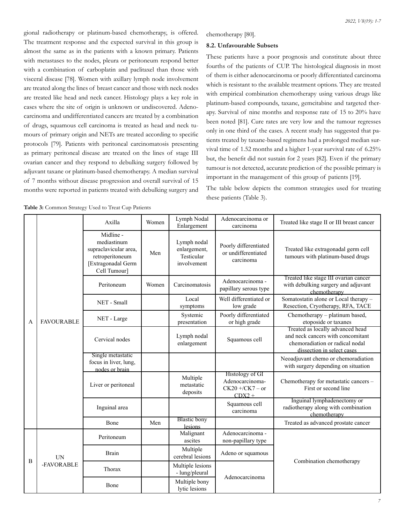gional radiotherapy or platinum-based chemotherapy, is offered. The treatment response and the expected survival in this group is almost the same as in the patients with a known primary. Patients with metastases to the nodes, pleura or peritoneum respond better with a combination of carboplatin and paclitaxel than those with visceral disease [78]. Women with axillary lymph node involvement are treated along the lines of breast cancer and those with neck nodes are treated like head and neck cancer. Histology plays a key role in cases where the site of origin is unknown or undiscovered. Adenocarcinoma and undifferentiated cancers are treated by a combination of drugs, squamous cell carcinoma is treated as head and neck tumours of primary origin and NETs are treated according to specific protocols [79]. Patients with peritoneal carcinomatosis presenting as primary peritoneal disease are treated on the lines of stage III ovarian cancer and they respond to debulking surgery followed by adjuvant taxane or platinum-based chemotherapy. A median survival of 7 months without disease progression and overall survival of 15 months were reported in patients treated with debulking surgery and

chemotherapy [80].

### **8.2. Unfavourable Subsets**

These patients have a poor prognosis and constitute about three fourths of the patients of CUP. The histological diagnosis in most of them is either adenocarcinoma or poorly differentiated carcinoma which is resistant to the available treatment options. They are treated with empirical combination chemotherapy using various drugs like platinum-based compounds, taxane, gemcitabine and targeted therapy. Survival of nine months and response rate of 15 to 20% have been noted [81]. Cure rates are very low and the tumour regresses only in one third of the cases. A recent study has suggested that patients treated by taxane-based regimens had a prolonged median survival time of 1.52 months and a higher 1-year survival rate of 6.25% but, the benefit did not sustain for 2 years [82]. Even if the primary tumour is not detected, accurate prediction of the possible primary is important in the management of this group of patients [19].

The table below depicts the common strategies used for treating these patients (Table 3).

|   | Table 3: Common Strategy Used to Treat Cup Patients |                                                                                                            |       |                                                          |                                                                       |                                                                                                                                        |  |  |
|---|-----------------------------------------------------|------------------------------------------------------------------------------------------------------------|-------|----------------------------------------------------------|-----------------------------------------------------------------------|----------------------------------------------------------------------------------------------------------------------------------------|--|--|
|   |                                                     | Axilla                                                                                                     | Women | Lymph Nodal<br>Enlargement                               | Adenocarcinoma or<br>carcinoma                                        | Treated like stage II or III breast cancer                                                                                             |  |  |
| Α | <b>FAVOURABLE</b>                                   | Midline -<br>mediastinum<br>supraclavicular area,<br>retroperitoneum<br>[Extragonadal Germ<br>Cell Tumour] | Men   | Lymph nodal<br>enlargement,<br>Testicular<br>involvement | Poorly differentiated<br>or undifferentiated<br>carcinoma             | Treated like extragonadal germ cell<br>tumours with platinum-based drugs                                                               |  |  |
|   |                                                     | Peritoneum                                                                                                 | Women | Carcinomatosis                                           | Adenocarcinoma -<br>papillary serous type                             | Treated like stage III ovarian cancer<br>with debulking surgery and adjuvant<br>chemotherapy                                           |  |  |
|   |                                                     | NET - Small                                                                                                |       | Local<br>symptoms                                        | Well differentiated or<br>low grade                                   | Somatostatin alone or Local therapy -<br>Resection, Cryotherapy, RFA, TACE                                                             |  |  |
|   |                                                     | NET - Large                                                                                                |       | Systemic<br>presentation                                 | Poorly differentiated<br>or high grade                                | Chemotherapy – platinum based,<br>etoposide or taxanes                                                                                 |  |  |
|   |                                                     | Cervical nodes                                                                                             |       | Lymph nodal<br>enlargement                               | Squamous cell                                                         | Treated as locally advanced head<br>and neck cancers with concomitant<br>chemoradiation or radical nodal<br>dissection in select cases |  |  |
|   |                                                     | Single metastatic<br>focus in liver, lung,<br>nodes or brain                                               |       |                                                          |                                                                       | Neoadjuvant chemo or chemoradiation<br>with surgery depending on situation                                                             |  |  |
|   |                                                     | Liver or peritoneal                                                                                        |       | Multiple<br>metastatic<br>deposits                       | Histology of GI<br>Adenocarcinoma-<br>$CK20 + / CK7 - or$<br>$CDX2 +$ | Chemotherapy for metastatic cancers -<br>First or second line                                                                          |  |  |
|   |                                                     | Inguinal area                                                                                              |       |                                                          | Squamous cell<br>carcinoma                                            | Inguinal lymphadenectomy or<br>radiotherapy along with combination<br>chemotherapy                                                     |  |  |
|   |                                                     | Bone                                                                                                       | Men   | <b>Blastic</b> bony<br><b>lesions</b>                    |                                                                       | Treated as advanced prostate cancer                                                                                                    |  |  |
| B | <b>UN</b><br>-FAVORABLE                             | Peritoneum                                                                                                 |       | Malignant<br>ascites                                     | Adenocarcinoma -<br>non-papillary type                                |                                                                                                                                        |  |  |
|   |                                                     | <b>Brain</b>                                                                                               |       | Multiple<br>cerebral lesions                             | Adeno or squamous                                                     | Combination chemotherapy                                                                                                               |  |  |
|   |                                                     | Thorax                                                                                                     |       | Multiple lesions<br>- lung/pleural                       | Adenocarcinoma                                                        |                                                                                                                                        |  |  |
|   |                                                     | Bone                                                                                                       |       | Multiple bony<br>lytic lesions                           |                                                                       |                                                                                                                                        |  |  |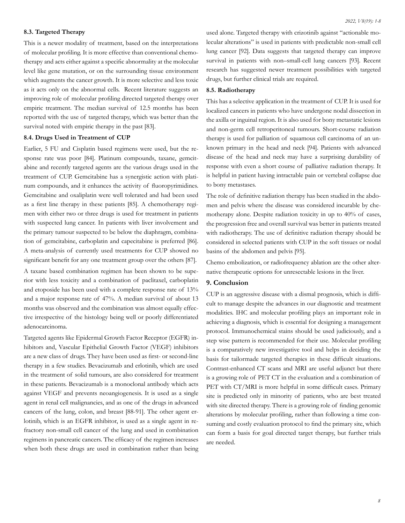# **8.3. Targeted Therapy**

This is a newer modality of treatment, based on the interpretations of molecular profiling. It is more effective than conventional chemotherapy and acts either against a specific abnormality at the molecular level like gene mutation, or on the surrounding tissue environment which augments the cancer growth. It is more selective and less toxic as it acts only on the abnormal cells. Recent literature suggests an improving role of molecular profiling directed targeted therapy over empiric treatment. The median survival of 12.5 months has been reported with the use of targeted therapy, which was better than the survival noted with empiric therapy in the past [83].

# **8.4. Drugs Used in Treatment of CUP**

Earlier, 5 FU and Cisplatin based regimens were used, but the response rate was poor [84]. Platinum compounds, taxane, gemcitabine and recently targeted agents are the various drugs used in the treatment of CUP. Gemcitabine has a synergistic action with platinum compounds, and it enhances the activity of fluoropyrimidines. Gemcitabine and oxaliplatin were well tolerated and had been used as a first line therapy in these patients [85]. A chemotherapy regimen with either two or three drugs is used for treatment in patients with suspected lung cancer. In patients with liver involvement and the primary tumour suspected to be below the diaphragm, combination of gemcitabine, carboplatin and capecitabine is preferred [86]. A meta-analysis of currently used treatments for CUP showed no significant benefit for any one treatment group over the others [87].

A taxane based combination regimen has been shown to be superior with less toxicity and a combination of paclitaxel, carboplatin and etoposide has been used with a complete response rate of 13% and a major response rate of 47%. A median survival of about 13 months was observed and the combination was almost equally effective irrespective of the histology being well or poorly differentiated adenocarcinoma.

Targeted agents like Epidermal Growth Factor Receptor (EGFR) inhibitors and, Vascular Epithelial Growth Factor (VEGF) inhibitors are a new class of drugs. They have been used as first- or second-line therapy in a few studies. Bevacizumab and erlotinib, which are used in the treatment of solid tumours, are also considered for treatment in these patients. Bevacizumab is a monoclonal antibody which acts against VEGF and prevents neoangiogenesis. It is used as a single agent in renal cell malignancies, and as one of the drugs in advanced cancers of the lung, colon, and breast [88-91]. The other agent erlotinib, which is an EGFR inhibitor, is used as a single agent in refractory non-small cell cancer of the lung and used in combination regimens in pancreatic cancers. The efficacy of the regimen increases when both these drugs are used in combination rather than being used alone. Targeted therapy with crizotinib against "actionable molecular alterations" is used in patients with predictable non-small cell lung cancer [92]. Data suggests that targeted therapy can improve survival in patients with non–small-cell lung cancers [93]. Recent research has suggested newer treatment possibilities with targeted drugs, but further clinical trials are required.

# **8.5. Radiotherapy**

This has a selective application in the treatment of CUP. It is used for localized cancers in patients who have undergone nodal dissection in the axilla or inguinal region. It is also used for bony metastatic lesions and non-germ cell retroperitoneal tumours. Short-course radiation therapy is used for palliation of squamous cell carcinoma of an unknown primary in the head and neck [94]. Patients with advanced disease of the head and neck may have a surprising durability of response with even a short course of palliative radiation therapy. It is helpful in patient having intractable pain or vertebral collapse due to bony metastases.

The role of definitive radiation therapy has been studied in the abdomen and pelvis where the disease was considered incurable by chemotherapy alone. Despite radiation toxicity in up to 40% of cases, the progression free and overall survival was better in patients treated with radiotherapy. The use of definitive radiation therapy should be considered in selected patients with CUP in the soft tissues or nodal basins of the abdomen and pelvis [95].

Chemo embolization, or radiofrequency ablation are the other alternative therapeutic options for unresectable lesions in the liver.

# **9. Conclusion**

CUP is an aggressive disease with a dismal prognosis, which is difficult to manage despite the advances in our diagnostic and treatment modalities. IHC and molecular profiling plays an important role in achieving a diagnosis, which is essential for designing a management protocol. Immunochemical stains should be used judiciously, and a step wise pattern is recommended for their use. Molecular profiling is a comparatively new investigative tool and helps in deciding the basis for tailormade targeted therapies in these difficult situations. Contrast-enhanced CT scans and MRI are useful adjunct but there is a growing role of PET CT in the evaluation and a combination of PET with CT/MRI is more helpful in some difficult cases. Primary site is predicted only in minority of patients, who are best treated with site directed therapy. There is a growing role of finding genomic alterations by molecular profiling, rather than following a time consuming and costly evaluation protocol to find the primary site, which can form a basis for goal directed target therapy, but further trials are needed.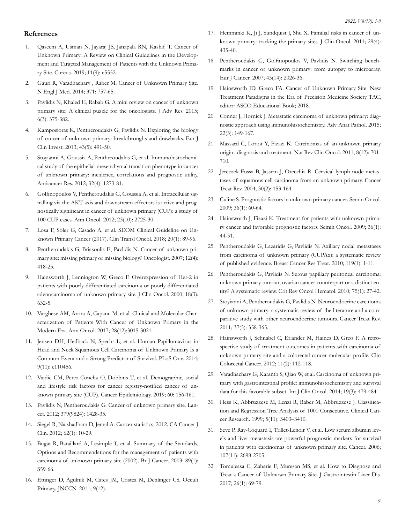### **References**

- 1. [Qaseem A, Usman N, Jayaraj JS, Janapala RN, Kashif T. Cancer of](https://www.ncbi.nlm.nih.gov/pmc/articles/PMC6820325/) [Unknown Primary: A Review on Clinical Guidelines in the Develop](https://www.ncbi.nlm.nih.gov/pmc/articles/PMC6820325/)[ment and Targeted Management of Patients with the Unknown Prima](https://www.ncbi.nlm.nih.gov/pmc/articles/PMC6820325/)[ry Site. Cureus. 2019; 11\(9\): e5552.](https://www.ncbi.nlm.nih.gov/pmc/articles/PMC6820325/)
- 2. [Gauri R, Varadhachary , Raber M. Cancer of Unknown Primary Site.](https://pubmed.ncbi.nlm.nih.gov/25140961/) [N Engl J Med. 2014; 371: 757-65.](https://pubmed.ncbi.nlm.nih.gov/25140961/)
- 3. [Pavlidis N, Khaled H, Rabab G. A mini review on cancer of unknown](https://pubmed.ncbi.nlm.nih.gov/26257935/)  [primary site: A clinical puzzle for the oncologists. J Adv Res. 2015;](https://pubmed.ncbi.nlm.nih.gov/26257935/) [6\(3\): 375-382.](https://pubmed.ncbi.nlm.nih.gov/26257935/)
- 4. [Kamposioras K, Pentheroudakis G, Pavlidis N. Exploring the biology](https://pubmed.ncbi.nlm.nih.gov/23480555/) [of cancer of unknown primary: breakthroughs and drawbacks. Eur J](https://pubmed.ncbi.nlm.nih.gov/23480555/) [Clin Invest. 2013; 43\(5\): 491-50.](https://pubmed.ncbi.nlm.nih.gov/23480555/)
- 5. [Stoyianni A, Goussia A, Pentheroudakis G, et al. Immunohistochemi](https://pubmed.ncbi.nlm.nih.gov/22493359/)[cal study of the epithelial-mesenchymal transition phenotype in cancer](https://pubmed.ncbi.nlm.nih.gov/22493359/) [of unknown primary: incidence, correlations and prognostic utility.](https://pubmed.ncbi.nlm.nih.gov/22493359/) [Anticancer Res. 2012; 32\(4\): 1273-81.](https://pubmed.ncbi.nlm.nih.gov/22493359/)
- 6. [Golfinopoulos V, Pentheroudakis G, Goussia A, et al. Intracellular sig](https://pubmed.ncbi.nlm.nih.gov/22565124/)[nalling via the AKT axis and downstream effectors is active and prog](https://pubmed.ncbi.nlm.nih.gov/22565124/)[nostically significant in cancer of unknown primary \(CUP\): a study of](https://pubmed.ncbi.nlm.nih.gov/22565124/) [100 CUP cases. Ann Oncol. 2012; 23\(10\): 2725-30.](https://pubmed.ncbi.nlm.nih.gov/22565124/)
- 7. [Losa F, Soler G, Casado A, et al. SEOM Clinical Guideline on Un](https://pubmed.ncbi.nlm.nih.gov/29230692/)[known Primary Cancer \(2017\). Clin Transl Oncol. 2018; 20\(1\): 89-96.](https://pubmed.ncbi.nlm.nih.gov/29230692/)
- 8. [Pentheroudakis G, Briasoulis E, Pavlidis N. Cancer of unknown pri](https://pubmed.ncbi.nlm.nih.gov/17470684/)[mary site: missing primary or missing biology? Oncologist. 2007; 12\(4\):](https://pubmed.ncbi.nlm.nih.gov/17470684/) [418-25.](https://pubmed.ncbi.nlm.nih.gov/17470684/)
- 9. [Hainsworth J, Lennington W, Greco F. Overexpression of Her-2 in](https://pubmed.ncbi.nlm.nih.gov/10653878/)  [patients with poorly differentiated carcinoma or poorly differentiated](https://pubmed.ncbi.nlm.nih.gov/10653878/) [adenocarcinoma of unknown primary site. J Clin Oncol. 2000; 18\(3\):](https://pubmed.ncbi.nlm.nih.gov/10653878/) [632-5.](https://pubmed.ncbi.nlm.nih.gov/10653878/)
- 10. [Varghese AM, Arora A, Capanu M, et al. Clinical and Molecular Char](https://pubmed.ncbi.nlm.nih.gov/29045506/)[acterization of Patients With Cancer of Unknown Primary in the](https://pubmed.ncbi.nlm.nih.gov/29045506/) [Modern Era. Ann Oncol. 2017; 28\(12\):3015-3021.](https://pubmed.ncbi.nlm.nih.gov/29045506/)
- 11. [Jensen DH, Hedback N, Specht L, et al. Human Papillomavirus in](https://pubmed.ncbi.nlm.nih.gov/25369118/) [Head and Neck Squamous Cell Carcinoma of Unknown Primary Is a](https://pubmed.ncbi.nlm.nih.gov/25369118/)  [Common Event and a Strong Predictor of Survival. PLoS One. 2014;](https://pubmed.ncbi.nlm.nih.gov/25369118/) [9\(11\): e110456.](https://pubmed.ncbi.nlm.nih.gov/25369118/)
- 12. [Vajdic CM, Perez-Concha O, Dobbins T, et al. Demographic, social](https://pubmed.ncbi.nlm.nih.gov/31015097/) [and lifestyle risk factors for cancer registry-notified cancer of un](https://pubmed.ncbi.nlm.nih.gov/31015097/)[known primary site \(CUP\). Cancer Epidemiology. 2019; 60: 156-161.](https://pubmed.ncbi.nlm.nih.gov/31015097/)
- 13. [Pavlidis N, Pentheroudakis G. Cancer of unknown primary site. Lan](https://www.thelancet.com/journals/lancet/article/PIIS0140-6736(11)61178-1/fulltext)[cet. 2012; 379\(9824\): 1428-35.](https://www.thelancet.com/journals/lancet/article/PIIS0140-6736(11)61178-1/fulltext)
- 14. [Siegel R, Naishadham D, Jemal A. Cancer statistics, 2012. CA Cancer J](https://pubmed.ncbi.nlm.nih.gov/22237781/)  [Clin. 2012; 62\(1\): 10-29.](https://pubmed.ncbi.nlm.nih.gov/22237781/)
- 15. [Bugat R, Bataillard A, Lesimple T, et al. Summary of the Standards,](https://pubmed.ncbi.nlm.nih.gov/12915904/) [Options and Recommendations for the management of patients with](https://pubmed.ncbi.nlm.nih.gov/12915904/)  [carcinoma of unknown primary site \(2002\). Br J Cancer. 2003; 89\(1\):](https://pubmed.ncbi.nlm.nih.gov/12915904/) [S59-66.](https://pubmed.ncbi.nlm.nih.gov/12915904/)
- 16. Ettinger D, Agulnik M, Cates JM, Cristea M, Denlinger CS. Occult Primary. JNCCN. 2011; 9(12).
- 17. [Hemminki K, Ji J, Sundquist J, Shu X. Familial risks in cancer of un](https://pubmed.ncbi.nlm.nih.gov/21189391/)[known primary: tracking the primary sites. J Clin Oncol. 2011; 29\(4\):](https://pubmed.ncbi.nlm.nih.gov/21189391/) [435-40.](https://pubmed.ncbi.nlm.nih.gov/21189391/)
- 18. [Pentheroudakis G, Golfinopoulos V, Pavlidis N. Switching bench](https://pubmed.ncbi.nlm.nih.gov/17698346/)[marks in cancer of unknown primary: from autopsy to microarray.](https://pubmed.ncbi.nlm.nih.gov/17698346/) [Eur J Cancer. 2007; 43\(14\): 2026-36.](https://pubmed.ncbi.nlm.nih.gov/17698346/)
- 19. [Hainsworth JD, Greco FA. Cancer of Unknown Primary Site: New](https://connection.asco.org/magazine/current-controversies-oncology/cancer-unknown-primary-site-new-treatment-paradigms-era) [Treatment Paradigms in the Era of Precision Medicine Society TAC,](https://connection.asco.org/magazine/current-controversies-oncology/cancer-unknown-primary-site-new-treatment-paradigms-era) [editor: ASCO Educational Book; 2018.](https://connection.asco.org/magazine/current-controversies-oncology/cancer-unknown-primary-site-new-treatment-paradigms-era)
- 20. [Conner J, Hornick J. Metastatic carcinoma of unknown primary: diag](https://pubmed.ncbi.nlm.nih.gov/25844674/)[nostic approach using immunohistochemistry. Adv Anat Pathol. 2015;](https://pubmed.ncbi.nlm.nih.gov/25844674/) [22\(3\): 149-167.](https://pubmed.ncbi.nlm.nih.gov/25844674/)
- 21. [Massard C, Loriot Y, Fizazi K. Carcinomas of an unknown primary](https://pubmed.ncbi.nlm.nih.gov/22048624/) [origin--diagnosis and treatment. Nat Rev Clin Oncol. 2011; 8\(12\): 701-](https://pubmed.ncbi.nlm.nih.gov/22048624/) [710.](https://pubmed.ncbi.nlm.nih.gov/22048624/)
- 22. [Jereczek-Fossa B, Jassem J, Orecchia R. Cervical lymph node metas](https://pubmed.ncbi.nlm.nih.gov/15023433/)[tases of squamous cell carcinoma from an unknown primary. Cancer](https://pubmed.ncbi.nlm.nih.gov/15023433/) [Treat Rev. 2004; 30\(2\): 153-164.](https://pubmed.ncbi.nlm.nih.gov/15023433/)
- 23. [Culine S. Prognostic factors in unknown primary cancer. Semin Oncol.](https://pubmed.ncbi.nlm.nih.gov/19179189/)  [2009; 36\(1\): 60-64.](https://pubmed.ncbi.nlm.nih.gov/19179189/)
- 24. [Hainsworth J, Fizazi K. Treatment for patients with unknown prima](https://pubmed.ncbi.nlm.nih.gov/19179187/)[ry cancer and favorable prognostic factors. Semin Oncol. 2009; 36\(1\):](https://pubmed.ncbi.nlm.nih.gov/19179187/) [44-51.](https://pubmed.ncbi.nlm.nih.gov/19179187/)
- 25. [Pentheroudakis G, Lazaridis G, Pavlidis N. Axillary nodal metastases](https://pubmed.ncbi.nlm.nih.gov/19771506/) [from carcinoma of unknown primary \(CUPAx\): a systematic review](https://pubmed.ncbi.nlm.nih.gov/19771506/) [of published evidence. Breast Cancer Res Treat. 2010; 119\(1\): 1-11.](https://pubmed.ncbi.nlm.nih.gov/19771506/)
- 26. [Pentheroudakis G, Pavlidis N. Serous papillary peritoneal carcinoma:](https://www.sciencedirect.com/science/article/abs/pii/S1040842809002017) [unknown primary tumour, ovarian cancer counterpart or a distinct en](https://www.sciencedirect.com/science/article/abs/pii/S1040842809002017)[tity? A systematic review. Crit Rev Oncol Hematol. 2010; 75\(1\): 27-42.](https://www.sciencedirect.com/science/article/abs/pii/S1040842809002017)
- 27. [Stoyianni A, Pentheroudakis G, Pavlidis N. Neuroendocrine carcinoma](https://pubmed.ncbi.nlm.nih.gov/21481536/)  [of unknown primary: a systematic review of the literature and a com](https://pubmed.ncbi.nlm.nih.gov/21481536/)[parative study with other neuroendocrine tumours. Cancer Treat Rev.](https://pubmed.ncbi.nlm.nih.gov/21481536/) [2011; 37\(5\): 358-365.](https://pubmed.ncbi.nlm.nih.gov/21481536/)
- 28. [Hainsworth J, Schnabel C, Erlander M, Haines D, Greo F. A retro](https://pubmed.ncbi.nlm.nih.gov/22000811/)[spective study of treatment outcomes in patients with carcinoma of](https://pubmed.ncbi.nlm.nih.gov/22000811/) [unknown primary site and a colorectal cancer molecular profile. Clin](https://pubmed.ncbi.nlm.nih.gov/22000811/)  [Colorectal Cancer. 2012; 11\(2\): 112-118.](https://pubmed.ncbi.nlm.nih.gov/22000811/)
- 29. [Varadhachary G, Karanth S, Qiao W, et al. Carcinoma of unknown pri](https://pubmed.ncbi.nlm.nih.gov/23813044/)[mary with gastrointestinal profile: immunohistochemistry and survival](https://pubmed.ncbi.nlm.nih.gov/23813044/)  [data for this favorable subset. Int J Clin Oncol. 2014; 19\(3\): 479-484.](https://pubmed.ncbi.nlm.nih.gov/23813044/)
- 30. [Hess K, Abbruzzese M, Lenzi R, Raber M, Abbruzzese J. Classifica](https://pubmed.ncbi.nlm.nih.gov/10589751/)[tion and Regression Tree Analysis of 1000 Consecutive. Clinical Can](https://pubmed.ncbi.nlm.nih.gov/10589751/)[cer Research. 1999; 5\(11\): 3403–3410.](https://pubmed.ncbi.nlm.nih.gov/10589751/)
- 31. [Seve P, Ray-Coquard I, Trillet-Lenoir V, et al. Low serum albumin lev](https://pubmed.ncbi.nlm.nih.gov/17063500/)[els and liver metastasis are powerful prognostic markers for survival](https://pubmed.ncbi.nlm.nih.gov/17063500/) [in patients with carcinomas of unknown primary site. Cancer. 2006;](https://pubmed.ncbi.nlm.nih.gov/17063500/) [107\(11\): 2698-2705.](https://pubmed.ncbi.nlm.nih.gov/17063500/)
- 32. [Tomuleasa C, Zaharie F, Muresan MS, et al. How to Diagnose and](https://pubmed.ncbi.nlm.nih.gov/17063500/)  [Treat a Cancer of Unknown Primary Site. J Gastrointestin Liver Dis.](https://pubmed.ncbi.nlm.nih.gov/17063500/)  [2017; 26\(1\): 69-79.](https://pubmed.ncbi.nlm.nih.gov/17063500/)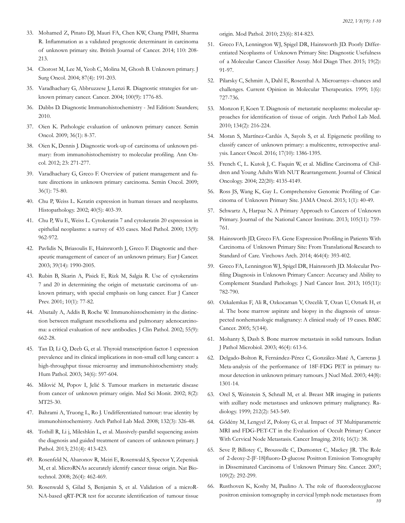- 33. [Mohamed Z, Pinato DJ, Mauri FA, Chen KW, Chang PMH, Sharma](https://pubmed.ncbi.nlm.nih.gov/24169348/)  [R. Inflammation as a validated prognostic determinant in carcinoma](https://pubmed.ncbi.nlm.nih.gov/24169348/)  [of unknown primary site. British Journal of Cancer. 2014; 110: 208-](https://pubmed.ncbi.nlm.nih.gov/24169348/) [213.](https://pubmed.ncbi.nlm.nih.gov/24169348/)
- 34. Chorost M, Lee M, Yeoh C, Molina M, Ghosh B. Unknown primary. J Surg Oncol. 2004; 87(4): 191-203.
- 35. [Varadhachary G, Abbruzzese J, Lenzi R. Diagnostic strategies for un](https://pubmed.ncbi.nlm.nih.gov/15112256)[known primary cancer. Cancer. 2004; 100\(9\): 1776-85.](https://pubmed.ncbi.nlm.nih.gov/15112256)
- 36. [Dabbs D. Diagnostic Immunohistochemistry 3rd Edition: Saunders;](https://journals.lww.com/ajsp/Citation/2010/12000/Diagnostic_Immunohistochemistry_Theranostic_and.26.aspx)  [2010.](https://journals.lww.com/ajsp/Citation/2010/12000/Diagnostic_Immunohistochemistry_Theranostic_and.26.aspx)
- 37. [Oien K. Pathologic evaluation of unknown primary cancer. Semin](https://pubmed.ncbi.nlm.nih.gov/19179185/)  [Oncol. 2009; 36\(1\): 8-37.](https://pubmed.ncbi.nlm.nih.gov/19179185/)
- 38. [Oien K, Dennis J. Diagnostic work-up of carcinoma of unknown pri](https://pubmed.ncbi.nlm.nih.gov/22987975/)[mary: from immunohistochemistry to molecular profiling. Ann On](https://pubmed.ncbi.nlm.nih.gov/22987975/)[col. 2012; 23: 271-277.](https://pubmed.ncbi.nlm.nih.gov/22987975/)
- 39. [Varadhachary G, Greco F. Overview of patient management and fu](https://pubmed.ncbi.nlm.nih.gov/19179191/)[ture directions in unknown primary carcinoma. Semin Oncol. 2009;](https://pubmed.ncbi.nlm.nih.gov/19179191/) [36\(1\): 75-80.](https://pubmed.ncbi.nlm.nih.gov/19179191/)
- 40. [Chu P, Weiss L. Keratin expression in human tissues and neoplasms.](https://pubmed.ncbi.nlm.nih.gov/12010363/) [Histopathology. 2002; 40\(5\): 403-39.](https://pubmed.ncbi.nlm.nih.gov/12010363/)
- 41. [Chu P, Wu E, Weiss L. Cytokeratin 7 and cytokeratin 20 expression in](https://pubmed.ncbi.nlm.nih.gov/11007036/)  [epithelial neoplasms: a survey of 435 cases. Mod Pathol. 2000; 13\(9\):](https://pubmed.ncbi.nlm.nih.gov/11007036/) [962-972.](https://pubmed.ncbi.nlm.nih.gov/11007036/)
- 42. [Pavlidis N, Briasoulis E, Hainsworth J, Greco F. Diagnostic and ther](https://pubmed.ncbi.nlm.nih.gov/12957453/)[apeutic management of cancer of an unknown primary. Eur J Cancer.](https://pubmed.ncbi.nlm.nih.gov/12957453/) [2003; 39\(14\): 1990-2005.](https://pubmed.ncbi.nlm.nih.gov/12957453/)
- 43. [Rubin B, Skarin A, Pisick E, Rizk M, Salgia R. Use of cytokeratins](https://pubmed.ncbi.nlm.nih.gov/11263595/) [7 and 20 in determining the origin of metastatic carcinoma of un](https://pubmed.ncbi.nlm.nih.gov/11263595/)[known primary, with special emphasis on lung cancer. Eur J Cancer](https://pubmed.ncbi.nlm.nih.gov/11263595/)  [Prev. 2001; 10\(1\): 77-82.](https://pubmed.ncbi.nlm.nih.gov/11263595/)
- 44. [Abutaily A, Addis B, Roche W. Immunohistochemistry in the distinc](https://www.ncbi.nlm.nih.gov/pmc/articles/PMC1769743/)[tion between malignant mesothelioma and pulmonary adenocarcino](https://www.ncbi.nlm.nih.gov/pmc/articles/PMC1769743/)[ma: a critical evaluation of new antibodies. J Clin Pathol. 2002; 55\(9\):](https://www.ncbi.nlm.nih.gov/pmc/articles/PMC1769743/) [662-28.](https://www.ncbi.nlm.nih.gov/pmc/articles/PMC1769743/)
- 45. [Tan D, Li Q, Deeb G, et al. Thyroid transcription factor-1 expression](https://pubmed.ncbi.nlm.nih.gov/12827614/)  [prevalence and its clinical implications in non-small cell lung cancer: a](https://pubmed.ncbi.nlm.nih.gov/12827614/) [high-throughput tissue microarray and immunohistochemistry study.](https://pubmed.ncbi.nlm.nih.gov/12827614/) [Hum Pathol. 2003; 34\(6\): 597-604.](https://pubmed.ncbi.nlm.nih.gov/12827614/)
- 46. [Milović M, Popov I, Jelić S. Tumour markers in metastatic disease](https://pubmed.ncbi.nlm.nih.gov/11859288/) [from cancer of unknown primary origin. Med Sci Monit. 2002; 8\(2\):](https://pubmed.ncbi.nlm.nih.gov/11859288/) [MT25-30.](https://pubmed.ncbi.nlm.nih.gov/11859288/)
- 47. [Bahrami A, Truong L, Ro J. Undifferentiated tumour: true identity by](https://pubmed.ncbi.nlm.nih.gov/18318577/)  [immunohistochemistry. Arch Pathol Lab Med. 2008; 132\(3\): 326-48.](https://pubmed.ncbi.nlm.nih.gov/18318577/)
- 48. [Tothill R, Li j, Mileshkin L, et al. Massively-parallel sequencing assists](https://pubmed.ncbi.nlm.nih.gov/24037760/) [the diagnosis and guided treatment of cancers of unknown primary. J](https://pubmed.ncbi.nlm.nih.gov/24037760/)  [Pathol. 2013; 231\(4\): 413-423.](https://pubmed.ncbi.nlm.nih.gov/24037760/)
- 49. [Rosenfeld N, Aharonov R, Meiri E, Rosenwald S, Spector Y, Zepeniuk](https://pubmed.ncbi.nlm.nih.gov/18362881/) [M, et al. MicroRNAs accurately identify cancer tissue origin. Nat Bio](https://pubmed.ncbi.nlm.nih.gov/18362881/)[technol. 2008; 26\(4\): 462-469.](https://pubmed.ncbi.nlm.nih.gov/18362881/)
- 50. [Rosenwald S, Gilad S, Benjamin S, et al. Validation of a microR-](https://pubmed.ncbi.nlm.nih.gov/20348879/)[NA-based qRT-PCR test for accurate identification of tumour tissue](https://pubmed.ncbi.nlm.nih.gov/20348879/)

[origin. Mod Pathol. 2010; 23\(6\): 814-823.](https://pubmed.ncbi.nlm.nih.gov/20348879/)

- 51. [Greco FA, Lennington WJ, Spigel DR, Hainsworth JD. Poorly Differ](https://pubmed.ncbi.nlm.nih.gov/25758902/)[entiated Neoplasms of Unknown Primary Site: Diagnostic Usefulness](https://pubmed.ncbi.nlm.nih.gov/25758902/) [of a Molecular Cancer Classifier Assay. Mol Diagn Ther. 2015; 19\(2\):](https://pubmed.ncbi.nlm.nih.gov/25758902/) [91-97.](https://pubmed.ncbi.nlm.nih.gov/25758902/)
- 52. [Pilarsky C, Schmitt A, Dahl E, Rosenthal A. Microarrays--chances and](https://pubmed.ncbi.nlm.nih.gov/19629870/) [challenges. Current Opinion in Molecular Therapeutics. 1999; 1\(6\):](https://pubmed.ncbi.nlm.nih.gov/19629870/) [727-736.](https://pubmed.ncbi.nlm.nih.gov/19629870/)
- 53. [Monzon F, Koen T. Diagnosis of metastatic neoplasms: molecular ap](https://pubmed.ncbi.nlm.nih.gov/20121609/)[proaches for identification of tissue of origin. Arch Pathol Lab Med.](https://pubmed.ncbi.nlm.nih.gov/20121609/) [2010; 134\(2\): 216-224.](https://pubmed.ncbi.nlm.nih.gov/20121609/)
- 54. [Moran S, Martínez-Cardús A, Sayols S, et al. Epigenetic profiling to](https://pubmed.ncbi.nlm.nih.gov/27575023/) [classify cancer of unknown primary: a multicentre, retrospective anal](https://pubmed.ncbi.nlm.nih.gov/27575023/)[ysis. Lancet Oncol. 2016; 17\(10\): 1386-1395.](https://pubmed.ncbi.nlm.nih.gov/27575023/)
- 55. [French C, L. Kutok J, C. Faquin W, et al. Midline Carcinoma of Chil](https://pubmed.ncbi.nlm.nih.gov/15483023/)[dren and Young Adults With NUT Rearrangement. Journal of Clinical](https://pubmed.ncbi.nlm.nih.gov/15483023/)  [Oncology. 2004; 22\(20\): 4135-4149.](https://pubmed.ncbi.nlm.nih.gov/15483023/)
- 56. [Ross JS, Wang K, Gay L. Comprehensive Genomic Profiling of Car](https://pubmed.ncbi.nlm.nih.gov/26182302/)[cinoma of Unknown Primary Site. JAMA Oncol. 2015; 1\(1\): 40-49.](https://pubmed.ncbi.nlm.nih.gov/26182302/)
- 57. [Schwartz A, Harpaz N. A Primary Approach to Cancers of Unknown](https://academic.oup.com/jnci/article/105/11/759/1004589)  [Primary. Journal of the National Cancer Institute. 2013; 105\(11\): 759-](https://academic.oup.com/jnci/article/105/11/759/1004589) [761.](https://academic.oup.com/jnci/article/105/11/759/1004589)
- 58. [Hainsworth JD, Greco FA. Gene Expression Profiling in Patients With](https://pubmed.ncbi.nlm.nih.gov/24487792/)  [Carcinoma of Unknown Primary Site: From Translational Research to](https://pubmed.ncbi.nlm.nih.gov/24487792/)  [Standard of Care. Virchows Arch. 2014; 464\(4\): 393-402.](https://pubmed.ncbi.nlm.nih.gov/24487792/)
- 59. [Greco FA, Lennington WJ, Spigel DR, Hainsworth JD. Molecular Pro](https://pubmed.ncbi.nlm.nih.gov/23641043/)[filing Diagnosis in Unknown Primary Cancer: Accuracy and Ability to](https://pubmed.ncbi.nlm.nih.gov/23641043/) [Complement Standard Pathology. J Natl Cancer Inst. 2013; 105\(11\):](https://pubmed.ncbi.nlm.nih.gov/23641043/) [782-790.](https://pubmed.ncbi.nlm.nih.gov/23641043/)
- 60. [Ozkalemkas F, Ali R, Ozkocaman V, Ozcelik T, Ozan U, Ozturk H, et](https://pubmed.ncbi.nlm.nih.gov/16262899/) [al. The bone marrow aspirate and biopsy in the diagnosis of unsus](https://pubmed.ncbi.nlm.nih.gov/16262899/)[pected nonhematologic malignancy: A clinical study of 19 cases. BMC](https://pubmed.ncbi.nlm.nih.gov/16262899/)  [Cancer. 2005; 5\(144\).](https://pubmed.ncbi.nlm.nih.gov/16262899/)
- 61. [Mohanty S, Dash S. Bone marrow metastasis in solid tumours. Indian](https://pubmed.ncbi.nlm.nih.gov/15025356/)  [J Pathol Microbiol. 2003; 46\(4\): 613-6.](https://pubmed.ncbi.nlm.nih.gov/15025356/)
- 62. [Delgado-Bolton R, Fernández-Pérez C, González-Maté A, Carreras J.](https://pubmed.ncbi.nlm.nih.gov/12902422/) [Meta-analysis of the performance of 18F-FDG PET in primary tu](https://pubmed.ncbi.nlm.nih.gov/12902422/)[mour detection in unknown primary tumours. J Nucl Med. 2003; 44\(8\):](https://pubmed.ncbi.nlm.nih.gov/12902422/) [1301-14.](https://pubmed.ncbi.nlm.nih.gov/12902422/)
- 63. [Orel S, Weinstein S, Schnall M, et al. Breast MR imaging in patients](https://pubmed.ncbi.nlm.nih.gov/10429716/) [with axillary node metastases and unknown primary malignancy. Ra](https://pubmed.ncbi.nlm.nih.gov/10429716/)[diology. 1999; 212\(2\): 543-549.](https://pubmed.ncbi.nlm.nih.gov/10429716/)
- 64. [Gődény M, Lengyel Z, Polony G, et al. Impact of 3T Multiparametric](https://pubmed.ncbi.nlm.nih.gov/27814768/)  [MRI and FDG-PET-CT in the Evaluation of Occult Primary Cancer](https://pubmed.ncbi.nlm.nih.gov/27814768/)  [With Cervical Node Metastasis. Cancer Imaging. 2016; 16\(1\): 38.](https://pubmed.ncbi.nlm.nih.gov/27814768/)
- 65. [Seve P, Billotey C, Broussolle C, Dumontet C, Mackey JR. The Role](https://pubmed.ncbi.nlm.nih.gov/17167760/)  [of 2-deoxy-2-\[F-18\]fluoro-D-glucose Positron Emission Tomography](https://pubmed.ncbi.nlm.nih.gov/17167760/) [in Disseminated Carcinoma of Unknown Primary Site. Cancer. 2007;](https://pubmed.ncbi.nlm.nih.gov/17167760/) [109\(2\): 292-299.](https://pubmed.ncbi.nlm.nih.gov/17167760/)
- 66. [Rusthoven K, Koshy M, Paulino A. The role of fluorodeoxyglucose](https://pubmed.ncbi.nlm.nih.gov/15517576/) [positron emission tomography in cervical lymph node metastases from](https://pubmed.ncbi.nlm.nih.gov/15517576/)